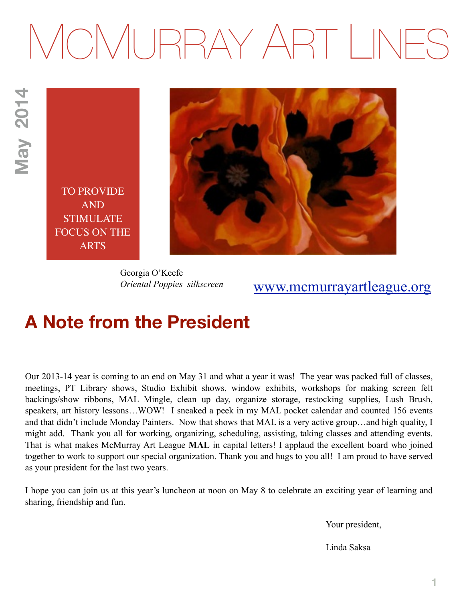# MCMURRAY ART LINES

**May 2014 May 2014**

> TO PROVIDE AND STIMULATE FOCUS ON THE ARTS



Georgia O'Keefe *Oriental Poppies silkscreen* 

## [www.mcmurrayartleague.org](http://www.mcmurrayartleague.org)

## **A Note from the President**

Our 2013-14 year is coming to an end on May 31 and what a year it was! The year was packed full of classes, meetings, PT Library shows, Studio Exhibit shows, window exhibits, workshops for making screen felt backings/show ribbons, MAL Mingle, clean up day, organize storage, restocking supplies, Lush Brush, speakers, art history lessons…WOW! I sneaked a peek in my MAL pocket calendar and counted 156 events and that didn't include Monday Painters. Now that shows that MAL is a very active group…and high quality, I might add. Thank you all for working, organizing, scheduling, assisting, taking classes and attending events. That is what makes McMurray Art League **MAL** in capital letters! I applaud the excellent board who joined together to work to support our special organization. Thank you and hugs to you all! I am proud to have served as your president for the last two years.

I hope you can join us at this year's luncheon at noon on May 8 to celebrate an exciting year of learning and sharing, friendship and fun.

Your president,

Linda Saksa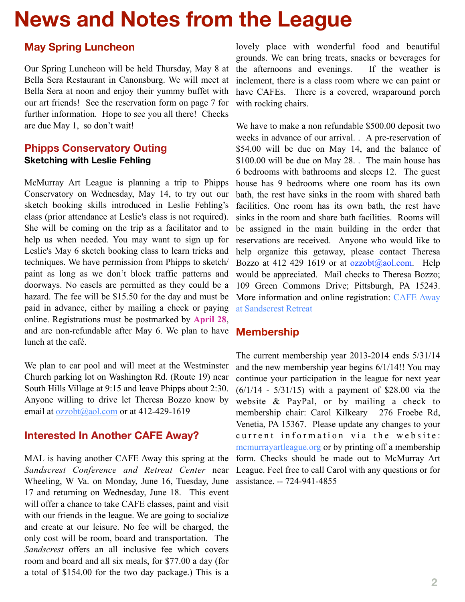# **News and Notes from the League**

#### **May Spring Luncheon**

Our Spring Luncheon will be held Thursday, May 8 at Bella Sera Restaurant in Canonsburg. We will meet at Bella Sera at noon and enjoy their yummy buffet with our art friends! See the reservation form on page 7 for further information. Hope to see you all there! Checks are due May 1, so don't wait!

#### **Phipps Conservatory Outing Sketching with Leslie Fehling**

McMurray Art League is planning a trip to Phipps Conservatory on Wednesday, May 14, to try out our sketch booking skills introduced in Leslie Fehling's class (prior attendance at Leslie's class is not required). She will be coming on the trip as a facilitator and to help us when needed. You may want to sign up for Leslie's May 6 sketch booking class to learn tricks and techniques. We have permission from Phipps to sketch/ paint as long as we don't block traffic patterns and doorways. No easels are permitted as they could be a hazard. The fee will be \$15.50 for the day and must be paid in advance, either by mailing a check or paying online. Registrations must be postmarked by **April 28**, and are non-refundable after May 6. We plan to have lunch at the café.

We plan to car pool and will meet at the Westminster Church parking lot on Washington Rd. (Route 19) near South Hills Village at 9:15 and leave Phipps about 2:30. Anyone willing to drive let Theresa Bozzo know by email at  $ozzobt(a)$  aol.com or at 412-429-1619

#### **Interested In Another CAFE Away?**

MAL is having another CAFE Away this spring at the *Sandscrest Conference and Retreat Center* near Wheeling, W Va. on Monday, June 16, Tuesday, June 17 and returning on Wednesday, June 18. This event will offer a chance to take CAFE classes, paint and visit with our friends in the league. We are going to socialize and create at our leisure. No fee will be charged, the only cost will be room, board and transportation. The *Sandscrest* offers an all inclusive fee which covers room and board and all six meals, for \$77.00 a day (for a total of \$154.00 for the two day package.) This is a

lovely place with wonderful food and beautiful grounds. We can bring treats, snacks or beverages for the afternoons and evenings. If the weather is inclement, there is a class room where we can paint or have CAFEs. There is a covered, wraparound porch with rocking chairs.

We have to make a non refundable \$500.00 deposit two weeks in advance of our arrival. . A pre-reservation of \$54.00 will be due on May 14, and the balance of \$100.00 will be due on May 28. . The main house has 6 bedrooms with bathrooms and sleeps 12. The guest house has 9 bedrooms where one room has its own bath, the rest have sinks in the room with shared bath facilities. One room has its own bath, the rest have sinks in the room and share bath facilities. Rooms will be assigned in the main building in the order that reservations are received. Anyone who would like to help organize this getaway, please contact Theresa Bozzo at 412 429 1619 or at [ozzobt@aol.com.](mailto:ozzobt@aol.com) Help would be appreciated. Mail checks to Theresa Bozzo; 109 Green Commons Drive; Pittsburgh, PA 15243. [More information and online registration: CAFE Away](http://mcmurrayartleague.wildapricot.org/EmailTracker/LinkTracker.ashx?linkAndRecipientCode=c%2fpKlI96ZD8Tu1bA9zfdA5lgOVwyVW6T9Ml%2foV8zWQ6uJ%2bHN12JZ5WqzjkeFtVZWakSWvv%2bIC3fc0JZwOpVbRkty5E2NKhwmR5TYq%2b0DA68%3d&eventId=883280)  at Sandscrest Retreat

#### **Membership**

The current membership year 2013-2014 ends 5/31/14 and the new membership year begins 6/1/14!! You may continue your participation in the league for next year (6/1/14 - 5/31/15) with a payment of \$28.00 via the website & PayPal, or by mailing a check to membership chair: Carol Kilkeary 276 Froebe Rd, Venetia, PA 15367. Please update any changes to your current information via the website: [mcmurrayartleague.org](http://mcmurrayartleague.org/) or by printing off a membership form. Checks should be made out to McMurray Art League. Feel free to call Carol with any questions or for assistance. -- 724-941-4855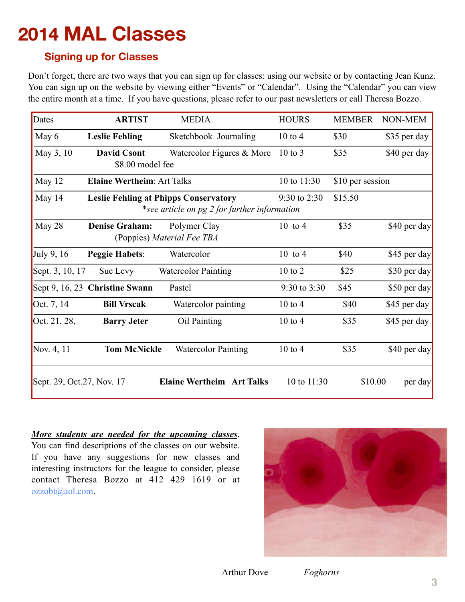# **2014 MAL Classes**

#### **Signing up for Classes**

Don't forget, there are two ways that you can sign up for classes: using our website or by contacting Jean Kunz. You can sign up on the website by viewing either "Events" or "Calendar". Using the "Calendar" you can view the entire month at a time. If you have questions, please refer to our past newsletters or call Theresa Bozzo.

| Dates                      | <b>ARTIST</b>                                | <b>MEDIA</b>                                                   | <b>HOURS</b>     | <b>MEMBER</b> | NON-MEM      |
|----------------------------|----------------------------------------------|----------------------------------------------------------------|------------------|---------------|--------------|
| May 6                      | <b>Leslie Fehling</b>                        | Sketchbook Journaling                                          | $10$ to $4$      | \$30          | \$35 per day |
| May 3, 10                  | <b>David Csont</b><br>\$8.00 model fee       | Watercolor Figures & More                                      | $10$ to $3$      | \$35          | \$40 per day |
| May 12                     | <b>Elaine Wertheim: Art Talks</b>            | 10 to 11:30                                                    | \$10 per session |               |              |
| May 14                     | <b>Leslie Fehling at Phipps Conservatory</b> | $9:30$ to 2:30<br>*see article on pg 2 for further information | \$15.50          |               |              |
| May 28                     | <b>Denise Graham:</b>                        | Polymer Clay<br>(Poppies) Material Fee TBA                     | $10$ to 4        | \$35          | \$40 per day |
| <b>July 9, 16</b>          | <b>Peggie Habets:</b>                        | Watercolor                                                     | $10$ to 4        | \$40          | \$45 per day |
| Sept. 3, 10, 17            | Sue Levy                                     | <b>Watercolor Painting</b>                                     | 10 to 2          | \$25          | \$30 per day |
|                            | Sept 9, 16, 23 Christine Swann               | Pastel                                                         | 9:30 to 3:30     | \$45          | \$50 per day |
| Oct. 7, 14                 | <b>Bill Vrscak</b>                           | Watercolor painting                                            | $10$ to $4$      | \$40          | \$45 per day |
| Oct. 21, 28,               | <b>Barry Jeter</b>                           | Oil Painting                                                   | $10$ to $4$      | \$35          | \$45 per day |
| Nov. 4, 11                 | <b>Tom McNickle</b>                          | <b>Watercolor Painting</b>                                     | $10$ to $4$      | \$35          | \$40 per day |
| Sept. 29, Oct. 27, Nov. 17 |                                              | <b>Elaine Wertheim Art Talks</b>                               | 10 to 11:30      | \$10.00       | per day      |

#### *More students are needed for the upcoming classes*.

You can find descriptions of the classes on our website. If you have any suggestions for new classes and interesting instructors for the league to consider, please contact Theresa Bozzo at 412 429 1619 or at [ozzobt@aol.com.](mailto:ozzobt@aol.com)

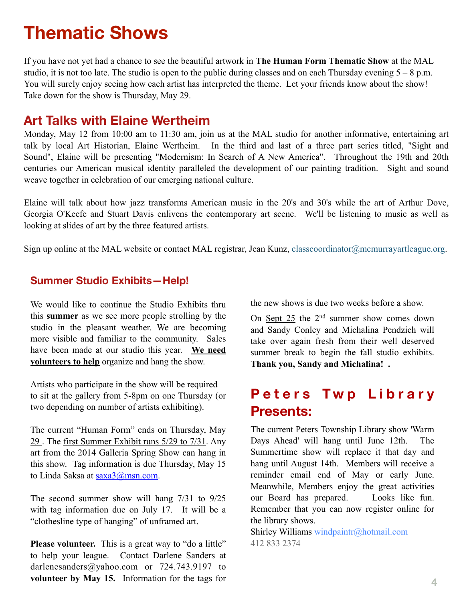## **Thematic Shows**

If you have not yet had a chance to see the beautiful artwork in **The Human Form Thematic Show** at the MAL studio, it is not too late. The studio is open to the public during classes and on each Thursday evening  $5 - 8$  p.m. You will surely enjoy seeing how each artist has interpreted the theme. Let your friends know about the show! Take down for the show is Thursday, May 29.

### **Art Talks with Elaine Wertheim**

Monday, May 12 from 10:00 am to 11:30 am, join us at the MAL studio for another informative, entertaining art talk by local Art Historian, Elaine Wertheim. In the third and last of a three part series titled, "Sight and Sound", Elaine will be presenting "Modernism: In Search of A New America". Throughout the 19th and 20th centuries our American musical identity paralleled the development of our painting tradition. Sight and sound weave together in celebration of our emerging national culture.

Elaine will talk about how jazz transforms American music in the 20's and 30's while the art of Arthur Dove, Georgia O'Keefe and Stuart Davis enlivens the contemporary art scene. We'll be listening to music as well as looking at slides of art by the three featured artists.

Sign up online at the MAL website or contact MAL registrar, Jean Kunz, [classcoordinator@mcmurrayartleague.org](mailto:classcoordinator@mcmurrayartleague.org).

#### **Summer Studio Exhibits—Help!**

We would like to continue the Studio Exhibits thru this **summer** as we see more people strolling by the studio in the pleasant weather. We are becoming more visible and familiar to the community. Sales have been made at our studio this year. **We need volunteers to help** organize and hang the show.

Artists who participate in the show will be required to sit at the gallery from 5-8pm on one Thursday (or two depending on number of artists exhibiting).

The current "Human Form" ends on Thursday, May 29 . The first Summer Exhibit runs 5/29 to 7/31. Any art from the 2014 Galleria Spring Show can hang in this show. Tag information is due Thursday, May 15 to Linda Saksa at [saxa3@msn.com](mailto:saxa3@msn.com).

The second summer show will hang 7/31 to 9/25 with tag information due on July 17. It will be a "clothesline type of hanging" of unframed art.

**Please volunteer.** This is a great way to "do a little" to help your league. Contact Darlene Sanders at darlenesanders@yahoo.com or 724.743.9197 to **volunteer by May 15.** Information for the tags for

the new shows is due two weeks before a show.

On Sept 25 the 2nd summer show comes down and Sandy Conley and Michalina Pendzich will take over again fresh from their well deserved summer break to begin the fall studio exhibits. **Thank you, Sandy and Michalina! .** 

## **Peters Twp Library Presents:**

The current Peters Township Library show 'Warm Days Ahead' will hang until June 12th. The Summertime show will replace it that day and hang until August 14th. Members will receive a reminder email end of May or early June. Meanwhile, Members enjoy the great activities our Board has prepared. Looks like fun. Remember that you can now register online for the library shows.

Shirley Williams [windpaintr@hotmail.com](mailto:windpaintr@hotmail.com) 412 833 2374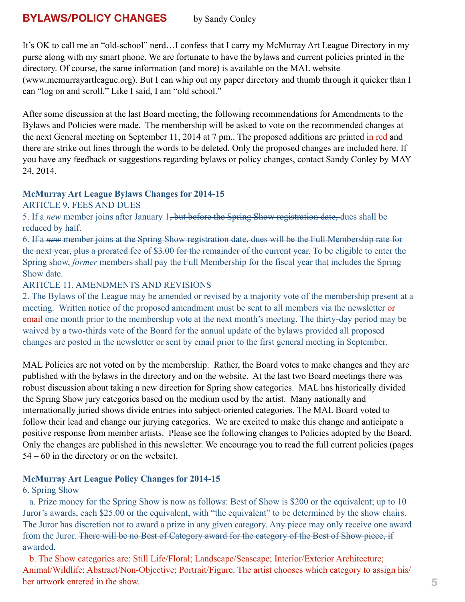#### **BYLAWS/POLICY CHANGES** by Sandy Conley

It's OK to call me an "old-school" nerd…I confess that I carry my McMurray Art League Directory in my purse along with my smart phone. We are fortunate to have the bylaws and current policies printed in the directory. Of course, the same information (and more) is available on the MAL website ([www.mcmurrayartleague.org](http://www.mcmurrayartleague.org/)). But I can whip out my paper directory and thumb through it quicker than I can "log on and scroll." Like I said, I am "old school."

After some discussion at the last Board meeting, the following recommendations for Amendments to the Bylaws and Policies were made. The membership will be asked to vote on the recommended changes at the next General meeting on September 11, 2014 at 7 pm.. The proposed additions are printed in red and there are strike out lines through the words to be deleted. Only the proposed changes are included here. If you have any feedback or suggestions regarding bylaws or policy changes, contact Sandy Conley by MAY 24, 2014.

## **McMurray Art League Bylaws Changes for 2014-15**

#### ARTICLE 9. FEES AND DUES

5. If a *new* member joins after January 1, but before the Spring Show registration date, dues shall be reduced by half.

6. If a *new* member joins at the Spring Show registration date, dues will be the Full Membership rate for the next year, plus a prorated fee of \$3.00 for the remainder of the current year. To be eligible to enter the Spring show, *former* members shall pay the Full Membership for the fiscal year that includes the Spring Show date.

#### ARTICLE 11. AMENDMENTS AND REVISIONS

2. The Bylaws of the League may be amended or revised by a majority vote of the membership present at a meeting. Written notice of the proposed amendment must be sent to all members via the newsletter or email one month prior to the membership vote at the next month's meeting. The thirty-day period may be waived by a two-thirds vote of the Board for the annual update of the bylaws provided all proposed changes are posted in the newsletter or sent by email prior to the first general meeting in September.

MAL Policies are not voted on by the membership. Rather, the Board votes to make changes and they are published with the bylaws in the directory and on the website. At the last two Board meetings there was robust discussion about taking a new direction for Spring show categories. MAL has historically divided the Spring Show jury categories based on the medium used by the artist. Many nationally and internationally juried shows divide entries into subject-oriented categories. The MAL Board voted to follow their lead and change our jurying categories. We are excited to make this change and anticipate a positive response from member artists. Please see the following changes to Policies adopted by the Board. Only the changes are published in this newsletter. We encourage you to read the full current policies (pages 54 – 60 in the directory or on the website).

#### **McMurray Art League Policy Changes for 2014-15**

#### 6. Spring Show

 a. Prize money for the Spring Show is now as follows: Best of Show is \$200 or the equivalent; up to 10 Juror's awards, each \$25.00 or the equivalent, with "the equivalent" to be determined by the show chairs. The Juror has discretion not to award a prize in any given category. Any piece may only receive one award from the Juror. There will be no Best of Category award for the category of the Best of Show piece, if awarded.

 b. The Show categories are: Still Life/Floral; Landscape/Seascape; Interior/Exterior Architecture; Animal/Wildlife; Abstract/Non-Objective; Portrait/Figure. The artist chooses which category to assign his/ her artwork entered in the show.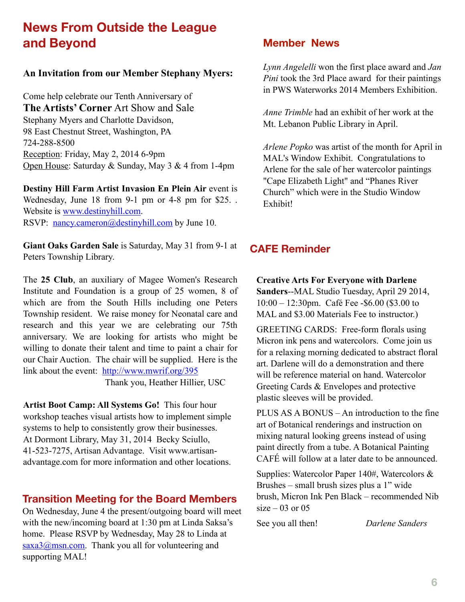## **News From Outside the League and Beyond**

#### **An Invitation from our Member Stephany Myers:**

Come help celebrate our Tenth Anniversary of **The Artists' Corner** Art Show and Sale Stephany Myers and Charlotte Davidson, 98 East Chestnut Street, Washington, PA 724-288-8500 Reception: Friday, May 2, 2014 6-9pm Open House: Saturday & Sunday, May 3 & 4 from 1-4pm

**Destiny Hill Farm Artist Invasion En Plein Air** event is Wednesday, June 18 from 9-1 pm or 4-8 pm for \$25. . Website is [www.destinyhill.com](http://www.destinyhill.com). RSVP: [nancy.cameron@destinyhill.com](mailto:nancy.cameron@destinyhill.com) by June 10.

**Giant Oaks Garden Sale** is Saturday, May 31 from 9-1 at Peters Township Library.

The **25 Club**, an auxiliary of Magee Women's Research Institute and Foundation is a group of 25 women, 8 of which are from the South Hills including one Peters Township resident. We raise money for Neonatal care and research and this year we are celebrating our 75th anniversary. We are looking for artists who might be willing to donate their talent and time to paint a chair for our Chair Auction. The chair will be supplied. Here is the link about the event: <http://www.mwrif.org/395>

Thank you, Heather Hillier, USC

**Artist Boot Camp: All Systems Go!**This four hour workshop teaches visual artists how to implement simple systems to help to consistently grow their businesses. At Dormont Library, May 31, 2014 Becky Sciullo, 41-523-7275, Artisan Advantage. Visit www.artisanadvantage.com for more information and other locations.

#### **Transition Meeting for the Board Members**

On Wednesday, June 4 the present/outgoing board will meet with the new/incoming board at 1:30 pm at Linda Saksa's home. Please RSVP by Wednesday, May 28 to Linda at [saxa3@msn.com.](mailto:saxa3@msn.com) Thank you all for volunteering and supporting MAL!

#### **Member News**

*Lynn Angelelli* won the first place award and *Jan Pini* took the 3rd Place award for their paintings in PWS Waterworks 2014 Members Exhibition.

*Anne Trimble* had an exhibit of her work at the Mt. Lebanon Public Library in April.

*Arlene Popko* was artist of the month for April in MAL's Window Exhibit. Congratulations to Arlene for the sale of her watercolor paintings "Cape Elizabeth Light" and "Phanes River Church" which were in the Studio Window Exhibit!

#### **CAFE Reminder**

**Creative Arts For Everyone with Darlene Sanders**--MAL Studio Tuesday, April 29 2014, 10:00 – 12:30pm. Café Fee -\$6.00 (\$3.00 to MAL and \$3.00 Materials Fee to instructor.)

GREETING CARDS: Free-form florals using Micron ink pens and watercolors. Come join us for a relaxing morning dedicated to abstract floral art. Darlene will do a demonstration and there will be reference material on hand. Watercolor Greeting Cards & Envelopes and protective plastic sleeves will be provided.

PLUS AS A BONUS – An introduction to the fine art of Botanical renderings and instruction on mixing natural looking greens instead of using paint directly from a tube. A Botanical Painting CAFÉ will follow at a later date to be announced.

Supplies: Watercolor Paper 140#, Watercolors & Brushes – small brush sizes plus a 1" wide brush, Micron Ink Pen Black – recommended Nib  $size - 03$  or  $05$ 

See you all then! *Darlene Sanders*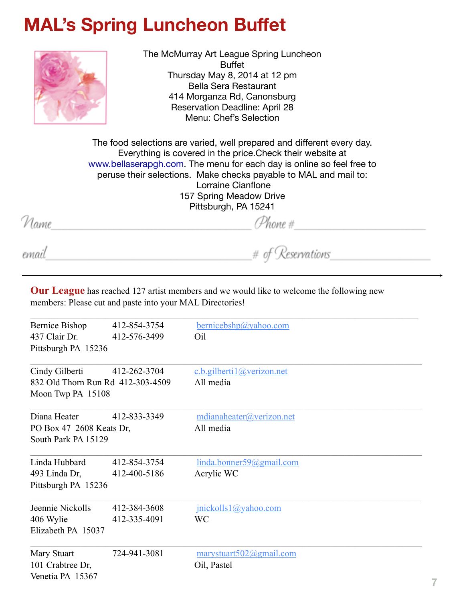# **MAL's Spring Luncheon Buffet**



The McMurray Art League Spring Luncheon Buffet Thursday May 8, 2014 at 12 pm Bella Sera Restaurant 414 Morganza Rd, Canonsburg Reservation Deadline: April 28 Menu: Chef's Selection

The food selections are varied, well prepared and different every day. Everything is covered in the price.Check their website at [www.bellaserapgh.com](http://www.bellaserapgh.com). The menu for each day is online so feel free to peruse their selections. Make checks payable to MAL and mail to: Lorraine Cianflone 157 Spring Meadow Drive Pittsburgh, PA 15241

Name

email

 $# of Reservations$ 

**Our League** has reached 127 artist members and we would like to welcome the following new members: Please cut and paste into your MAL Directories!

| Bernice Bishop                    | 412-854-3754 | $b$ ernicebshp@yahoo.com       |
|-----------------------------------|--------------|--------------------------------|
| 437 Clair Dr.                     | 412-576-3499 | Oil                            |
| Pittsburgh PA 15236               |              |                                |
| Cindy Gilberti                    | 412-262-3704 | c.b.gilberti1@verizon.net      |
| 832 Old Thorn Run Rd 412-303-4509 |              | All media                      |
| Moon Twp PA 15108                 |              |                                |
| Diana Heater                      | 412-833-3349 | $m$ dianaheater@verizon.net    |
| PO Box 47 2608 Keats Dr.          |              | All media                      |
| South Park PA 15129               |              |                                |
| Linda Hubbard                     | 412-854-3754 | linda.bonner59@gmail.com       |
| 493 Linda Dr,                     | 412-400-5186 | Acrylic WC                     |
| Pittsburgh PA 15236               |              |                                |
| Jeennie Nickolls                  | 412-384-3608 | jnickolls1@yahoo.com           |
| 406 Wylie                         | 412-335-4091 | <b>WC</b>                      |
| Elizabeth PA 15037                |              |                                |
| Mary Stuart                       | 724-941-3081 | $maxy$ stuart $502$ @gmail.com |
| 101 Crabtree Dr,                  |              | Oil, Pastel                    |
| Venetia PA 15367                  |              |                                |